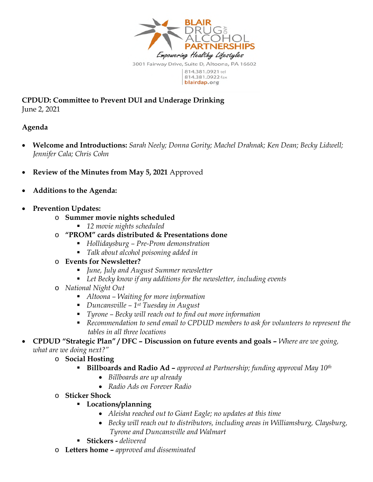

**CPDUD: Committee to Prevent DUI and Underage Drinking**  June 2, 2021

## **Agenda**

- **Welcome and Introductions:** *Sarah Neely; Donna Gority; Machel Drahnak; Ken Dean; Becky Lidwell; Jennifer Cala; Chris Cohn*
- **Review of the Minutes from May 5, 2021** Approved
- **Additions to the Agenda:**
- **Prevention Updates:** 
	- o **Summer movie nights scheduled** 
		- *12 movie nights scheduled*
	- o **"PROM" cards distributed & Presentations done** 
		- *Hollidaysburg Pre-Prom demonstration*
		- *Talk about alcohol poisoning added in*
	- o **Events for Newsletter?** 
		- *June, July and August Summer newsletter*
		- *Let Becky know if any additions for the newsletter, including events*
	- o *National Night Out*
		- *Altoona Waiting for more information*
		- *Duncansville 1st Tuesday in August*
		- *Tyrone Becky will reach out to find out more information*
		- *Recommendation to send email to CPDUD members to ask for volunteers to represent the tables in all three locations*
- **CPDUD "Strategic Plan" / DFC Discussion on future events and goals** *Where are we going, what are we doing next?"* 
	- o **Social Hosting** 
		- **Billboards and Radio Ad** *approved at Partnership; funding approval May 10th*
			- *Billboards are up already*
			- *Radio Ads on Forever Radio*
	- o **Sticker Shock** 
		- **Locations/planning** 
			- *Aleisha reached out to Giant Eagle; no updates at this time*
			- *Becky will reach out to distributors, including areas in Williamsburg, Claysburg, Tyrone and Duncansville and Walmart*
		- **Stickers -** *delivered*
	- o **Letters home** *approved and disseminated*